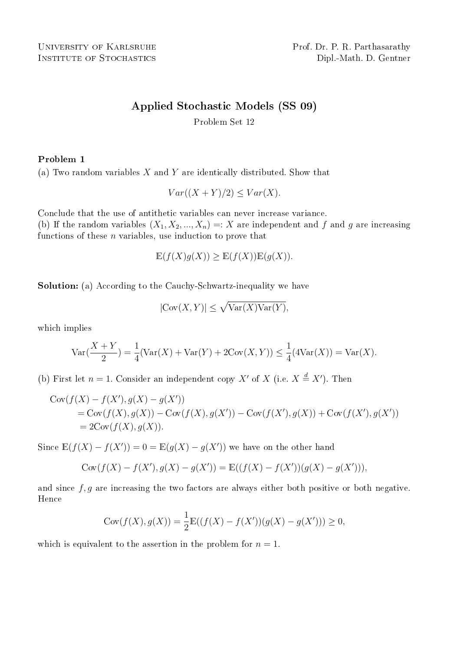INSTITUTE OF STOCHASTICS Dipl.-Math. D. Gentner

# Applied Stochastic Models (SS 09)

Problem Set 12

## Problem 1

(a) Two random variables  $X$  and  $Y$  are identically distributed. Show that

$$
Var((X+Y)/2) \le Var(X).
$$

Conclude that the use of antithetic variables can never increase variance.

(b) If the random variables  $(X_1, X_2, ..., X_n) =: X$  are independent and f and g are increasing functions of these  $n$  variables, use induction to prove that

$$
\mathbb{E}(f(X)g(X)) \ge \mathbb{E}(f(X))\mathbb{E}(g(X)).
$$

Solution: (a) According to the Cauchy-Schwartz-inequality we have

$$
|\text{Cov}(X, Y)| \le \sqrt{\text{Var}(X)\text{Var}(Y)},
$$

which implies

$$
\text{Var}(\frac{X+Y}{2}) = \frac{1}{4}(\text{Var}(X) + \text{Var}(Y) + 2\text{Cov}(X, Y)) \le \frac{1}{4}(4\text{Var}(X)) = \text{Var}(X).
$$

(b) First let  $n = 1$ . Consider an independent copy X' of X (i.e.  $X \stackrel{d}{=} X'$ ). Then

$$
Cov(f(X) - f(X'), g(X) - g(X'))
$$
  
= Cov(f(X), g(X)) – Cov(f(X), g(X')) – Cov(f(X'), g(X)) + Cov(f(X'), g(X'))  
= 2Cov(f(X), g(X)).

Since  $\mathbb{E}(f(X) - f(X')) = 0 = \mathbb{E}(g(X) - g(X'))$  we have on the other hand

$$
Cov(f(X) - f(X'), g(X) - g(X')) = \mathbb{E}((f(X) - f(X'))(g(X) - g(X'))),
$$

and since  $f, g$  are increasing the two factors are always either both positive or both negative. Hence

$$
Cov(f(X), g(X)) = \frac{1}{2} \mathbb{E}((f(X) - f(X'))(g(X) - g(X'))) \ge 0,
$$

which is equivalent to the assertion in the problem for  $n = 1$ .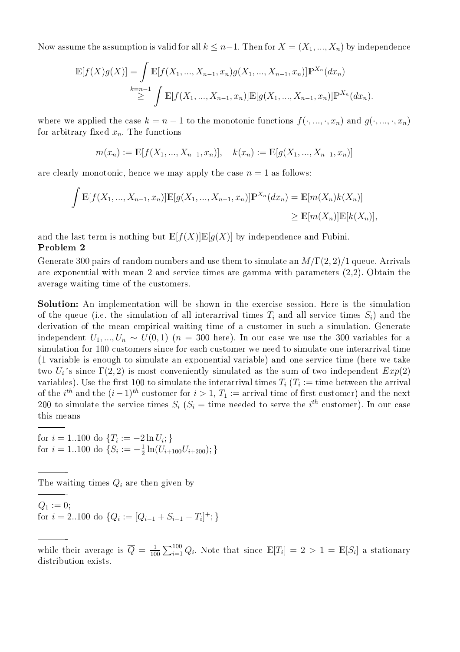Now assume the assumption is valid for all  $k \leq n-1$ . Then for  $X = (X_1, ..., X_n)$  by independence

$$
\mathbb{E}[f(X)g(X)] = \int \mathbb{E}[f(X_1, ..., X_{n-1}, x_n)g(X_1, ..., X_{n-1}, x_n)]\mathbb{P}^{X_n}(dx_n)
$$
  

$$
\geq \int \mathbb{E}[f(X_1, ..., X_{n-1}, x_n)]\mathbb{E}[g(X_1, ..., X_{n-1}, x_n)]\mathbb{P}^{X_n}(dx_n).
$$

where we applied the case  $k = n - 1$  to the monotonic functions  $f(\cdot, ..., \cdot, x_n)$  and  $g(\cdot, ..., \cdot, x_n)$ for arbitrary fixed  $x_n$ . The functions

$$
m(x_n) := \mathbb{E}[f(X_1, ..., X_{n-1}, x_n)], \quad k(x_n) := \mathbb{E}[g(X_1, ..., X_{n-1}, x_n)]
$$

are clearly monotonic, hence we may apply the case  $n = 1$  as follows:

$$
\int \mathbb{E}[f(X_1, ..., X_{n-1}, x_n)] \mathbb{E}[g(X_1, ..., X_{n-1}, x_n)] \mathbb{P}^{X_n}(dx_n) = \mathbb{E}[m(X_n)k(X_n)]
$$
  
\n
$$
\geq \mathbb{E}[m(X_n)] \mathbb{E}[k(X_n)],
$$

and the last term is nothing but  $\mathbb{E}[f(X)]\mathbb{E}[g(X)]$  by independence and Fubini.

#### Problem 2

-

-

-

Generate 300 pairs of random numbers and use them to simulate an  $M/\Gamma(2,2)/1$  queue. Arrivals are exponential with mean 2 and service times are gamma with parameters (2,2). Obtain the average waiting time of the customers.

Solution: An implementation will be shown in the exercise session. Here is the simulation of the queue (i.e. the simulation of all interarrival times  $T_i$  and all service times  $S_i$ ) and the derivation of the mean empirical waiting time of a customer in such a simulation. Generate independent  $U_1, ..., U_n \sim U(0, 1)$  ( $n = 300$  here). In our case we use the 300 variables for a simulation for 100 customers since for each customer we need to simulate one interarrival time (1 variable is enough to simulate an exponential variable) and one service time (here we take two  $U_i$ 's since  $\Gamma(2,2)$  is most conveniently simulated as the sum of two independent  $Exp(2)$ variables). Use the first 100 to simulate the interarrival times  $T_i$  ( $T_i :=$  time between the arrival of the  $i^{th}$  and the  $(i-1)^{th}$  customer for  $i > 1$ ,  $T_1 :=$  arrival time of first customer) and the next 200 to simulate the service times  $S_i$  ( $S_i$  = time needed to serve the i<sup>th</sup> customer). In our case this means

for  $i = 1..100$  do  $\{T_i := -2 \ln U_i\}$ for  $i = 1..100$  do  $\{S_i := -\frac{1}{2}\}$  $\frac{1}{2}\ln(U_{i+100}U_{i+200});\}$ 

The waiting times  $Q_i$  are then given by

 $Q_1 := 0;$ for  $i = 2..100$  do  $\{Q_i := [Q_{i-1} + S_{i-1} - T_i]^+; \}$ 

 while their average is  $\overline{Q} = \frac{1}{10}$ 100  $\sum_{100}$  $\sum_{i=1}^{100} Q_i$ . Note that since  $\mathbb{E}[T_i] = 2 > 1 = \mathbb{E}[S_i]$  a stationary distribution exists.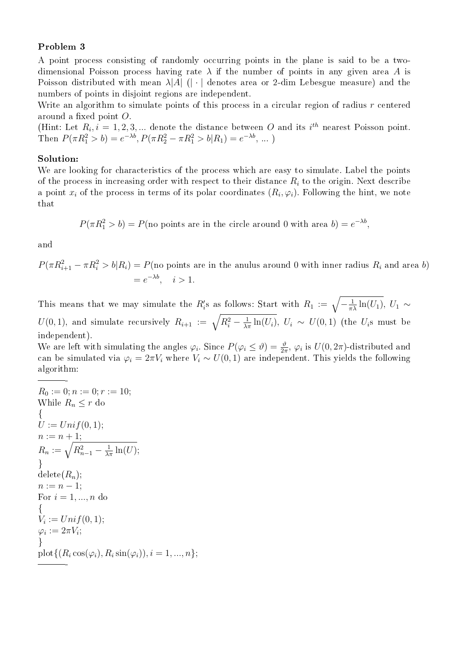## Problem 3

A point process consisting of randomly occurring points in the plane is said to be a twodimensional Poisson process having rate  $\lambda$  if the number of points in any given area A is Poisson distributed with mean  $\lambda |A|$  (| · | denotes area or 2-dim Lebesgue measure) and the numbers of points in disjoint regions are independent.

Write an algorithm to simulate points of this process in a circular region of radius  $r$  centered around a fixed point  $O$ .

(Hint: Let  $R_i$ ,  $i = 1, 2, 3, ...$  denote the distance between O and its  $i^{th}$  nearest Poisson point. Then  $P(\pi R_1^2 > b) = e^{-\lambda b}$ ,  $P(\pi R_2^2 - \pi R_1^2 > b | R_1) = e^{-\lambda b}$ , ...)

### Solution:

We are looking for characteristics of the process which are easy to simulate. Label the points of the process in increasing order with respect to their distance  $R_i$  to the origin. Next describe a point  $x_i$  of the process in terms of its polar coordinates  $(R_i, \varphi_i)$ . Following the hint, we note that

$$
P(\pi R_1^2 > b) = P(\text{no points are in the circle around 0 with area } b) = e^{-\lambda b},
$$

and

$$
P(\pi R_{i+1}^2 - \pi R_i^2 > b | R_i) = P(\text{no points are in the anulus around 0 with inner radius } R_i \text{ and area } b)
$$
  
=  $e^{-\lambda b}, \quad i > 1.$ 

This means that we may simulate the R'<sub>i</sub>s as follows: Start with  $R_1 := \sqrt{-\frac{1}{\pi\lambda}\ln(U_1)}$ ,  $U_1 \sim$ U(0, 1), and simulate recursively  $R_{i+1} := \sqrt{R_i^2 - \frac{1}{\lambda \pi} \ln(U_i)}$ ,  $U_i \sim U(0, 1)$  (the  $U_i$ s must be independent).

We are left with simulating the angles  $\varphi_i$ . Since  $P(\varphi_i \leq \vartheta) = \frac{\vartheta}{2\pi}$ ,  $\varphi_i$  is  $U(0, 2\pi)$ -distributed and can be simulated via  $\varphi_i = 2\pi V_i$  where  $V_i \sim U(0, 1)$  are independent. This yields the following algorithm:

$$
R_0 := 0; n := 0; r := 10;
$$
  
While  $R_n \le r$  do  
  

$$
\{U := Unif(0, 1);
$$
  

$$
n := n + 1;
$$
  

$$
R_n := \sqrt{R_{n-1}^2 - \frac{1}{\lambda \pi} \ln(U)};
$$
  
  

$$
h \text{delete}(R_n);
$$
  

$$
n := n - 1;
$$
  
For  $i = 1, ..., n$  do  
  

$$
\{V_i := Unif(0, 1);
$$
  

$$
\varphi_i := 2\pi V_i;
$$
  
  

$$
\}
$$
  
plot
$$
\{(R_i \cos(\varphi_i), R_i \sin(\varphi_i)), i = 1, ..., n\};
$$